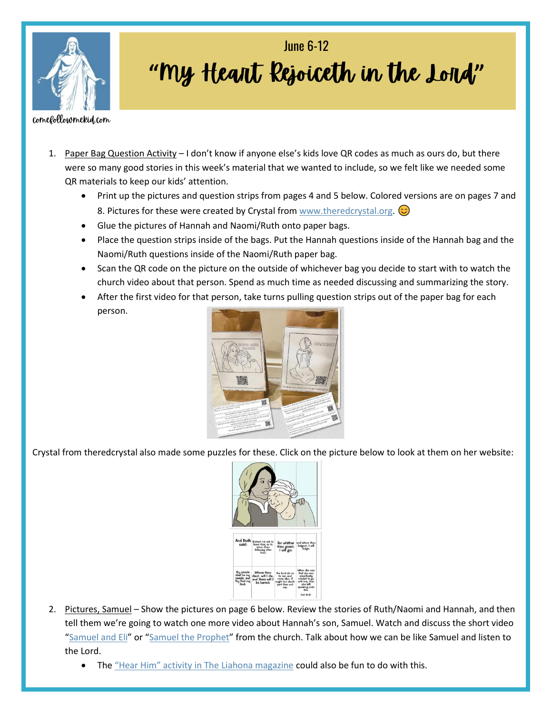

## **" " June 6-12**

comefollowmekid.com

- 1. Paper Bag Question Activity I don't know if anyone else's kids love QR codes as much as ours do, but there were so many good stories in this week's material that we wanted to include, so we felt like we needed some QR materials to keep our kids' attention.
	- Print up the pictures and question strips from pages 4 and 5 below. Colored versions are on pages 7 and 8. Pictures for these were created by Crystal from [www.theredcrystal.org.](http://www.theredcrystal.org/)  $\odot$
	- Glue the pictures of Hannah and Naomi/Ruth onto paper bags.
	- Place the question strips inside of the bags. Put the Hannah questions inside of the Hannah bag and the Naomi/Ruth questions inside of the Naomi/Ruth paper bag.
	- Scan the QR code on the picture on the outside of whichever bag you decide to start with to watch the church video about that person. Spend as much time as needed discussing and summarizing the story.
	- After the first video for that person, take turns pulling question strips out of the paper bag for each person.



Crystal from theredcrystal also made some puzzles for these. Click on the picture below to look at them on her website:



- 2. Pictures, Samuel Show the pictures on page 6 below. Review the stories of Ruth/Naomi and Hannah, and then tell them we're going to watch one more video about Hannah's son, Samuel. Watch and discuss the short video "[Samuel and Eli](https://www.youtube.com/watch?v=vVos84e8keM)" or "[Samuel the Prophet](https://abn.churchofjesuschrist.org/study/manual/old-testament-stories-2022/samuel-the-prophet?lang=eng)" from the church. Talk about how we can be like Samuel and listen to the Lord.
	- The ["Hear Him" activity in The Liahona magazine](https://www.churchofjesuschrist.org/study/liahona/2022/06/17-we-follow-jesus-christ-and-his-prophet?lang=eng) could also be fun to do with this.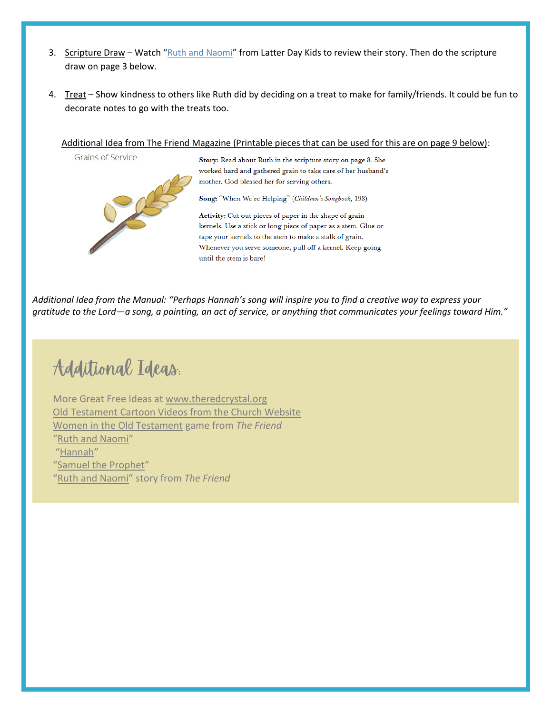- 3. Scripture Draw Watch "[Ruth and Naomi](https://www.youtube.com/watch?v=plfhR_vMoKY)" from Latter Day Kids to review their story. Then do the scripture draw on page 3 below.
- 4. Treat Show kindness to others like Ruth did by deciding on a treat to make for family/friends. It could be fun to decorate notes to go with the treats too.

## Additional Idea from The Friend Magazine (Printable pieces that can be used for this are on page 9 below):

**Grains of Service** 



Story: Read about Ruth in the scripture story on page 8. She worked hard and gathered grain to take care of her husband's mother. God blessed her for serving others.

Song: "When We're Helping" (Children's Songbook, 198)

Activity: Cut out pieces of paper in the shape of grain kernels. Use a stick or long piece of paper as a stem. Glue or tape your kernels to the stem to make a stalk of grain. Whenever you serve someone, pull off a kernel. Keep going until the stem is bare!

*Additional Idea from the Manual: "Perhaps Hannah's song will inspire you to find a creative way to express your gratitude to the Lord—a song, a painting, an act of service, or anything that communicates your feelings toward Him."*

Additional Ideas.

More Great Free Ideas at [www.theredcrystal.org](http://www.theredcrystal.org/) [Old Testament Cartoon Videos from the Church Website](https://www.churchofjesuschrist.org/study/manual/old-testament-stories-2022?lang=eng) [Women in the Old Testament](https://www.churchofjesuschrist.org/study/friend/2022/06/women-in-the-old-testament?lang=eng) game from *The Friend* "[Ruth and Naomi](https://abn.churchofjesuschrist.org/study/manual/old-testament-stories-2022/ruth-and-naomi?lang=eng)" "[Hannah](https://abn.churchofjesuschrist.org/study/manual/old-testament-stories-2022/hannah?lang=eng)" "[Samuel the Prophet](https://abn.churchofjesuschrist.org/study/manual/old-testament-stories-2022/samuel-the-prophet?lang=eng)" "[Ruth and Naomi](https://www.churchofjesuschrist.org/study/friend/2022/06/ruth-and-naomi?lang=eng)" story from *The Friend*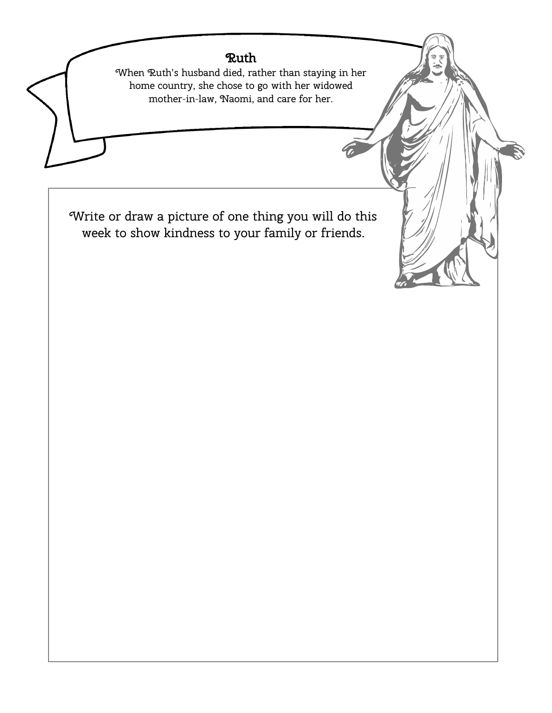## Ruth

When Ruth's husband died, rather than staying in her home country, she chose to go with her widowed mother-in-law, Naomi, and care for her.

Write or draw a picture of one thing you will do this week to show kindness to your family or friends.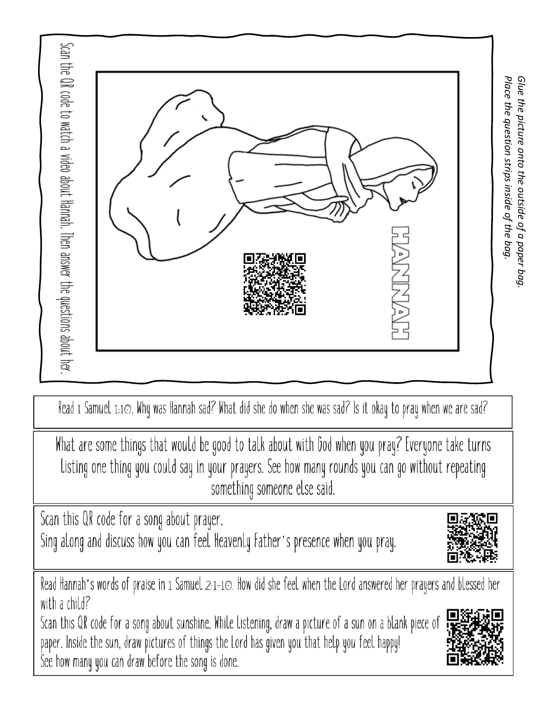

Read 1 Samuel 1:10. Why was Hannah sad? What did she do when she was sad? Is it okay to pray when we are sad?

What are some things that would be good to talk about with God when you pray? Everyone take turns Listing one thing you could say in your prayers. See how many rounds you can go without repeating something someone else said.

Scan this QR code for a song about prayer.

Sing along and discuss how you can feel Heavenly Father's presence when you pray.

Read Hannah's words of praise in 1 Samuel 2:1-10. How did she feel when the Lord answered her prayers and blessed her with a child?

Scan this QR code for a song about sunshine. While listening, draw a picture of a sun on a blank piece of paper. Inside the sun, draw pictures of things the Lord has given you that help you feel happy! See how many you can draw before the song is done.



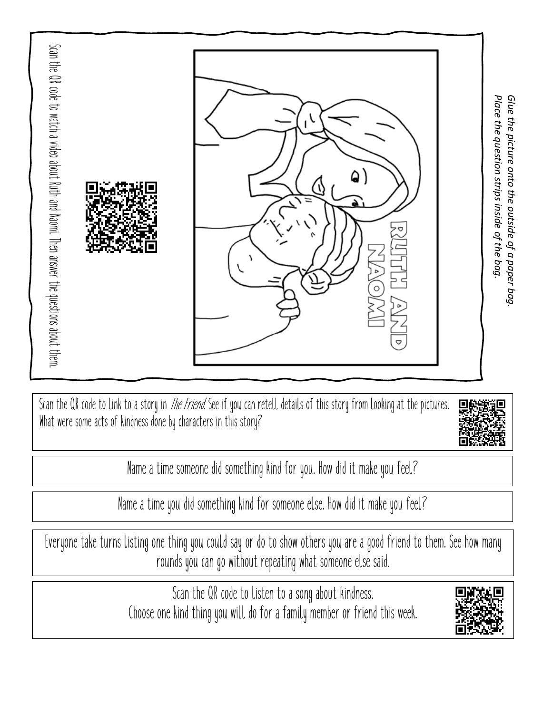

Scan the QR code to link to a story in *The Friend*. See if you can retell details of this story from looking at the pictures. What were some acts of kindness done by characters in this story?



Name a time someone did something kind for you. How did it make you feel?

Name a time you did something kind for someone else. How did it make you feel?

Everyone take turns listing one thing you could say or do to show others you are a good friend to them. See how many rounds you can go without repeating what someone else said.

> Scan the QR code to listen to a song about kindness. Choose one kind thing you will do for a family member or friend this week.

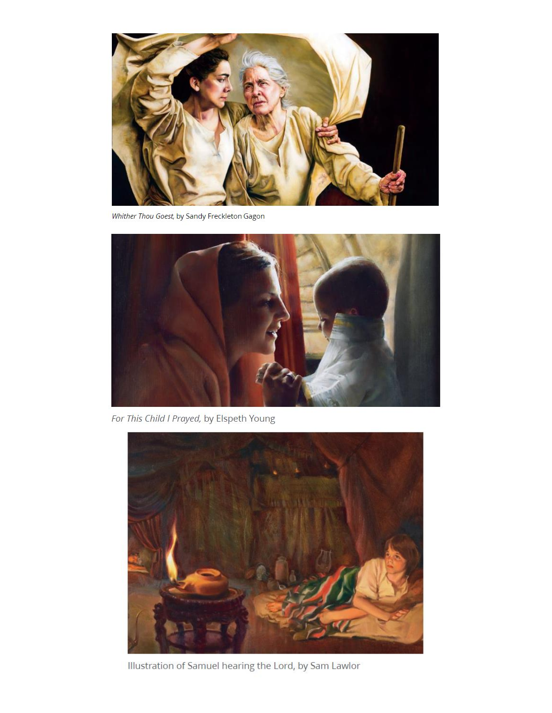

Whither Thou Goest, by Sandy Freckleton Gagon



For This Child I Prayed, by Elspeth Young



Illustration of Samuel hearing the Lord, by Sam Lawlor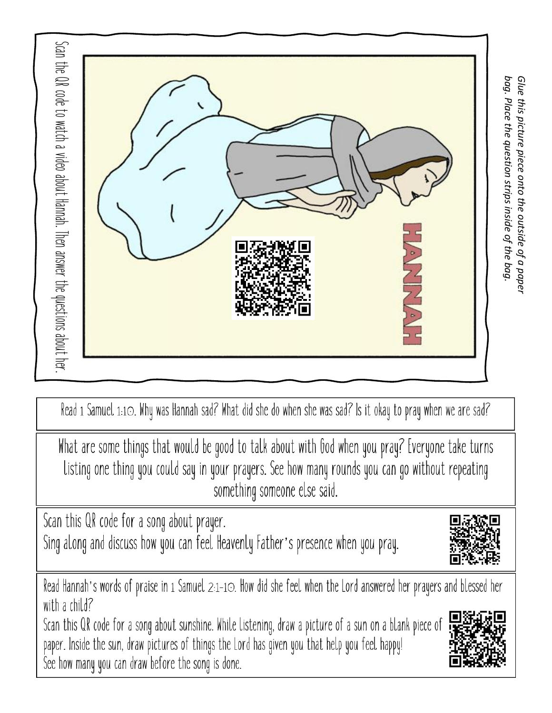

Read 1 Samuel 1:10. Why was Hannah sad? What did she do when she was sad? Is it okay to pray when we are sad?

What are some things that would be good to talk about with God when you pray? Everyone take turns Listing one thing you could say in your prayers. See how many rounds you can go without repeating something someone else said.

Scan this QR code for a song about prayer. Sing along and discuss how you can feel Heavenly Father's presence when you pray.

Read Hannah's words of praise in 1 Samuel 2:1-10. How did she feel when the Lord answered her prayers and blessed her with a child?

Scan this QR code for a song about sunshine. While listening, draw a picture of a sun on a blank piece of paper. Inside the sun, draw pictures of things the Lord has given you that help you feel happy! See how many you can draw before the song is done.

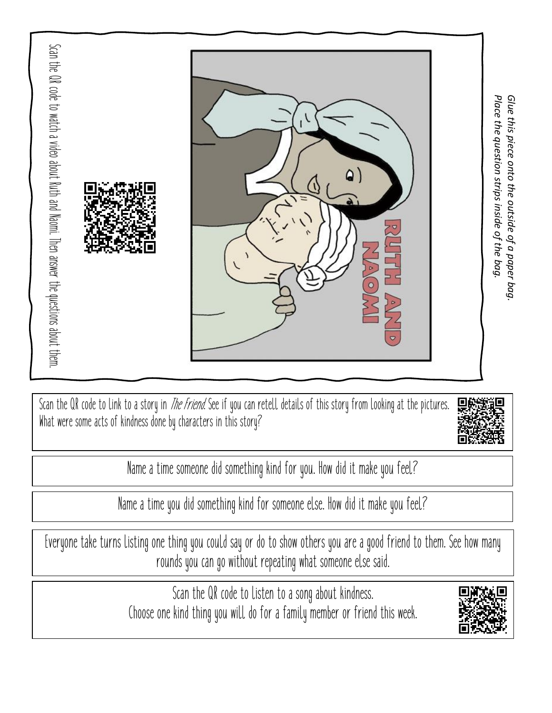

Scan the QR code to link to a story in *The Friend*. See if you can retell details of this story from looking at the pictures. What were some acts of kindness done by characters in this story?



Name a time someone did something kind for you. How did it make you feel?

Name a time you did something kind for someone else. How did it make you feel?

Everyone take turns listing one thing you could say or do to show others you are a good friend to them. See how many rounds you can go without repeating what someone else said.

> Scan the QR code to listen to a song about kindness. Choose one kind thing you will do for a family member or friend this week.